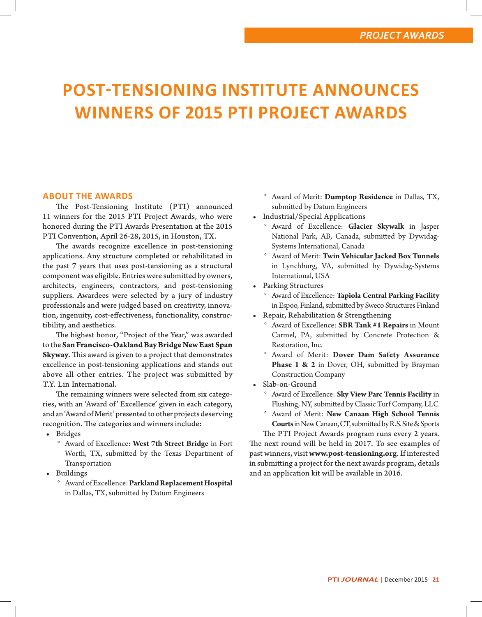# **POST-TENSIONING INSTITUTE ANNOUNCES WINNERS OF 2015 PTI PROJECT AWARDS**

## **ABOUT THE AWARDS**

The Post-Tensioning Institute (PTI) announced 11 winners for the 2015 PTI Project Awards, who were honored during the PTI Awards Presentation at the 2015 PTI Convention, April 26-28, 2015, in Houston, TX.

The awards recognize excellence in post-tensioning applications. Any structure completed or rehabilitated in the past 7 years that uses post-tensioning as a structural component was eligible. Entries were submitted by owners, architects, engineers, contractors, and post-tensioning suppliers. Awardees were selected by a jury of industry professionals and were judged based on creativity, innovation, ingenuity, cost-effectiveness, functionality, constructibility, and aesthetics.

The highest honor, "Project of the Year," was awarded to the **San Francisco-Oakland Bay Bridge New East Span Skyway**. This award is given to a project that demonstrates excellence in post-tensioning applications and stands out above all other entries. The project was submitted by T.Y. Lin International.

The remaining winners were selected from six categories, with an 'Award of' Excellence' given in each category, and an 'Award of Merit' presented to other projects deserving recognition. The categories and winners include:

- Bridges
	- Award of Excellence: West 7th Street Bridge in Fort Worth, TX, submitted by the Texas Department of Transportation
- Buildings
	- ° Award of Excellence: **Parkland Replacement Hospital**  in Dallas, TX, submitted by Datum Engineers
- ° Award of Merit: **Dumptop Residence** in Dallas, TX, submitted by Datum Engineers
- Industrial/Special Applications
	- ° Award of Excellence: **Glacier Skywalk** in Jasper National Park, AB, Canada, submitted by Dywidag-Systems International, Canada
	- ° Award of Merit: **Twin Vehicular Jacked Box Tunnels** in Lynchburg, VA, submitted by Dywidag-Systems International, USA
- Parking Structures
	- ° Award of Excellence: **Tapiola Central Parking Facility** in Espoo, Finland, submitted by Sweco Structures Finland
- Repair, Rehabilitation & Strengthening
	- ° Award of Excellence: **SBR Tank #1 Repairs** in Mount Carmel, PA, submitted by Concrete Protection & Restoration, Inc.
	- ° Award of Merit: **Dover Dam Safety Assurance**  Phase 1 & 2 in Dover, OH, submitted by Brayman Construction Company
- Slab-on-Ground
	- ° Award of Excellence: **Sky View Parc Tennis Facility** in Flushing, NY, submitted by Classic Turf Company, LLC
	- ° Award of Merit: **New Canaan High School Tennis Courts** in New Canaan, CT, submitted by R.S. Site & Sports

The PTI Project Awards program runs every 2 years. The next round will be held in 2017. To see examples of past winners, visit **www.post-tensioning.org**. If interested in submitting a project for the next awards program, details and an application kit will be available in 2016.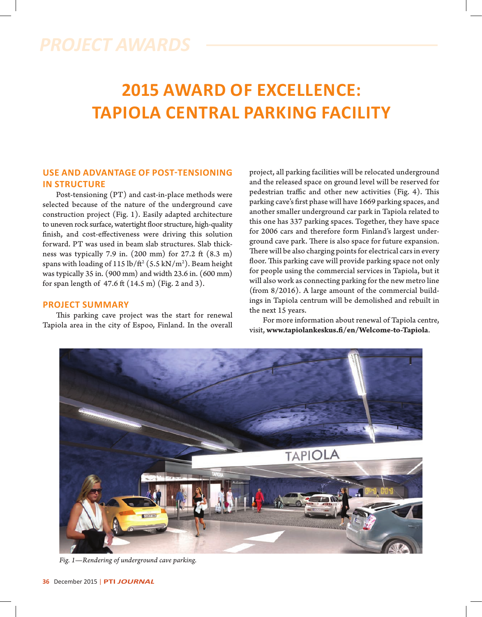# **2015 AWARD OF EXCELLENCE: TAPIOLA CENTRAL PARKING FACILITY**

# **USE AND ADVANTAGE OF POST-TENSIONING IN STRUCTURE**

Post-tensioning (PT) and cast-in-place methods were selected because of the nature of the underground cave construction project (Fig. 1). Easily adapted architecture to uneven rock surface, watertight floor structure, high-quality finish, and cost-effectiveness were driving this solution forward. PT was used in beam slab structures. Slab thickness was typically 7.9 in.  $(200 \text{ mm})$  for 27.2 ft  $(8.3 \text{ m})$ spans with loading of 115 lb/ft² (5.5 kN/m²). Beam height was typically 35 in. (900 mm) and width 23.6 in. (600 mm) for span length of  $47.6$  ft  $(14.5 \text{ m})$  (Fig. 2 and 3).

### **PROJECT SUMMARY**

This parking cave project was the start for renewal Tapiola area in the city of Espoo, Finland. In the overall project, all parking facilities will be relocated underground and the released space on ground level will be reserved for pedestrian traffic and other new activities (Fig. 4). This parking cave's first phase will have 1669 parking spaces, and another smaller underground car park in Tapiola related to this one has 337 parking spaces. Together, they have space for 2006 cars and therefore form Finland's largest underground cave park. There is also space for future expansion. There will be also charging points for electrical cars in every floor. This parking cave will provide parking space not only for people using the commercial services in Tapiola, but it will also work as connecting parking for the new metro line (from 8/2016). A large amount of the commercial buildings in Tapiola centrum will be demolished and rebuilt in the next 15 years.

For more information about renewal of Tapiola centre, visit, www.tapiolankeskus.fi/en/Welcome-to-Tapiola.



*Fig. 1—Rendering of underground cave parking.*